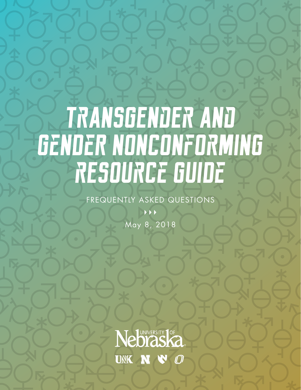# **TrANSGENdEr ANd GeNDeR NONCONfOrMINg rESOUrCe GUIDe**

FREQUENTLY ASKED QUESTIONS

 $\rightarrow$ 

May 8, 2018

Nebraska UNK N N Ø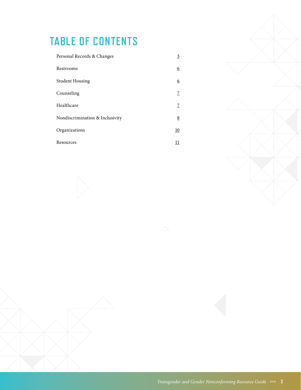# **TABLE OF CONTENTS**

| Personal Records & Changes      | 3               |
|---------------------------------|-----------------|
| Restrooms                       | 6               |
| <b>Student Housing</b>          | <u>6</u>        |
| Counseling                      | 7               |
| Healthcare                      | 7               |
| Nondiscrimination & Inclusivity | $\underline{8}$ |
| Organizations                   | 10              |
| Resources                       |                 |

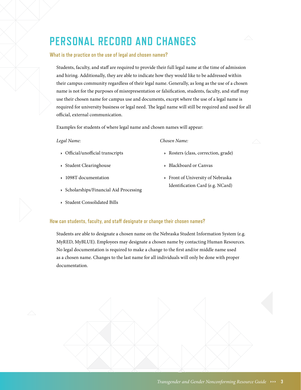# <span id="page-2-0"></span>**PERSONAL RECORD AND CHANGES**

### **What is the practice on the use of legal and chosen names?**

Students, faculty, and staff are required to provide their full legal name at the time of admission and hiring. Additionally, they are able to indicate how they would like to be addressed within their campus community regardless of their legal name. Generally, as long as the use of a chosen name is not for the purposes of misrepresentation or falsification, students, faculty, and staff may use their chosen name for campus use and documents, except where the use of a legal name is required for university business or legal need. The legal name will still be required and used for all official, external communication.

Examples for students of where legal name and chosen names will appear:

#### *Legal Name:*

- · Official/unofficial transcripts
- · Student Clearinghouse
- · 1098T documentation
- · Scholarships/Financial Aid Processing
- · Student Consolidated Bills

# · Rosters (class, correction, grade)

*Chosen Name:*

- · Blackboard or Canvas
- · Front of University of Nebraska Identification Card (e.g. NCard)

# **How can students, faculty, and staff designate or change their chosen names?**

Students are able to designate a chosen name on the Nebraska Student Information System (e.g. MyRED, MyBLUE). Employees may designate a chosen name by contacting Human Resources. No legal documentation is required to make a change to the first and/or middle name used as a chosen name. Changes to the last name for all individuals will only be done with proper documentation.

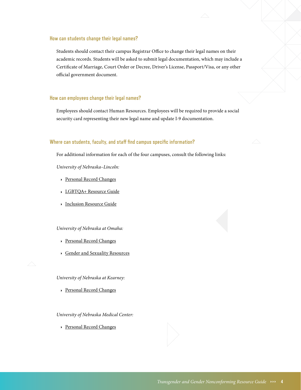#### **How can students change their legal names?**

Students should contact their campus Registrar Office to change their legal names on their academic records. Students will be asked to submit legal documentation, which may include a Certificate of Marriage, Court Order or Decree, Driver's License, Passport/Visa, or any other official government document.

### **How can employees change their legal names?**

Employees should contact Human Resources. Employees will be required to provide a social security card representing their new legal name and update I-9 documentation.

#### **Where can students, faculty, and staff find campus specific information?**

For additional information for each of the four campuses, consult the following links:

*University of Nebraska–Lincoln:* 

- · [Personal Record Changes](registrar.unl.edu/Personal-Record-Changes)
- · [LGBTQA+ Resource Guide](https://involved.unl.edu/LGBTQA%2B%20Resource%20Guide.pdf )
- · [Inclusion Resource Guide](https://involved.unl.edu/lgbtqa/Inclusive%20Resource.pdf)

#### *University of Nebraska at Omaha:*

- · [Personal Record Changes](https://www.unomaha.edu/registrar/students/transcripts-and-records/update-your-personal-information.php)
- · [Gender and Sexuality Resources](https://www.unomaha.edu/student-life/inclusion/gender-and-sexuality-resource-center/index.php)



*University of Nebraska at Kearney:* 

· [Personal Record Changes](http://www.unk.edu/offices/registrar/academic_policies_handbook/Name_Changes.php)

*University of Nebraska Medical Center:* 

· [Personal Record Changes](https://www.unmc.edu/studentservices/academic-records/name-change.html)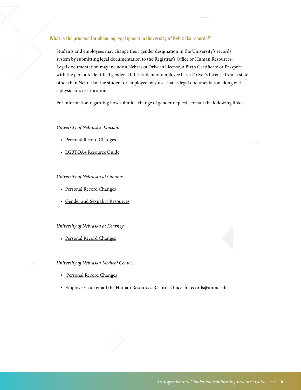# **What is the process for changing legal gender in University of Nebraska records?**

Students and employees may change their gender designation in the University's records system by submitting legal documentation to the Registrar's Office or Human Resources. Legal documentation may include a Nebraska Driver's License, a Birth Certificate or Passport with the person's identified gender. If the student or employee has a Driver's License from a state other than Nebraska, the student or employee may use that as legal documentation along with a physician's certification.

For information regarding how submit a change of gender request, consult the following links:

### *University of Nebraska–Lincoln:*

- · [Personal Record Changes](registrar.unl.edu/Personal-Record-Changes)
- · [LGBTQA+ Resource Guide](https://involved.unl.edu/LGBTQA%2B%20Resource%20Guide.pdf )

#### *University of Nebraska at Omaha:*

- · [Personal Record Changes](https://www.unomaha.edu/registrar/students/transcripts-and-records/update-your-personal-information.php)
- · [Gender and Sexuality Resources](https://www.unomaha.edu/student-life/inclusion/gender-and-sexuality-resource-center/index.php)

#### *University of Nebraska at Kearney:*

· [Personal Record Changes](unk.edu/offices/registrar/academic_policies_handbook/Name_Changes.php)

*University of Nebraska Medical Center:* 

- · [Personal Record Changes](https://www.unmc.edu/studentservices/academic-records/name-change.html)
- · Employees can email the Human Resources Records Office: [hrrecords@unmc.edu](mailto:hrrecords%40unmc.edu?subject=)

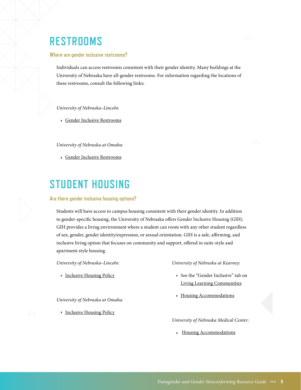# <span id="page-5-0"></span>**RESTROOMS**

#### **Where are gender inclusive restrooms?**

Individuals can access restrooms consistent with their gender identity. Many buildings at the University of Nebraska have all-gender restrooms. For information regarding the locations of these restrooms, consult the following links:

*University of Nebraska–Lincoln:* 

· [Gender Inclusive Restrooms](involved.unl.edu/unl-gender-neutral-bathrooms)

*University of Nebraska at Omaha:* 

· [Gender Inclusive Restrooms](https://www.unomaha.edu/student-life/inclusion/gender-and-sexuality-resource-center/lgbtqia-resources/inclusive-facilities.php)

# **STUDENT HOUSING**

#### **Are there gender inclusive housing options?**

Students will have access to campus housing consistent with their gender identity. In addition to gender-specific housing, the University of Nebraska offers Gender Inclusive Housing (GIH). GIH provides a living environment where a student can room with any other student regardless of sex, gender, gender identity/expression, or sexual orientation. GIH is a safe, affirming, and inclusive living option that focuses on community and support, offered in suite-style and apartment-style housing.

*University of Nebraska–Lincoln:* 

· [Inclusive Housing Policy](housing.unl.edu/gender-inclusive-housing-policy)

*University of Nebraska at Omaha:* 

· [Inclusive Housing Policy](https://www.unomaha.edu/student-life/housing-and-residential-life/prospective-students/inclusivehousing.php)

*University of Nebraska at Kearney:* 

- · See the "Gender Inclusive" tab on [Living Learning Communities](http://www.unk.edu/offices/reslife/living-communities.php)
- · [Housing Accommodations](http://www.unk.edu/offices/reslife/housing-brochure/#p=1)

*University of Nebraska Medical Center:* 

· [Housing Accommodations](https://www.unmc.edu/housing/index.html)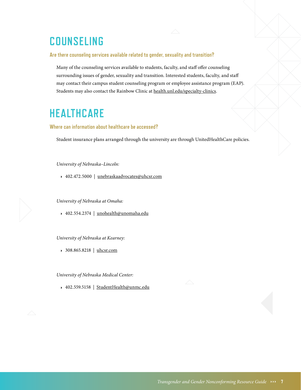# <span id="page-6-0"></span>**COUNSELING**

### **Are there counseling services available related to gender, sexuality and transition?**

Many of the counseling services available to students, faculty, and staff offer counseling surrounding issues of gender, sexuality and transition. Interested students, faculty, and staff may contact their campus student counseling program or employee assistance program (EAP). Students may also contact the Rainbow Clinic at [health.unl.edu/specialty-clinics](http://health.unl.edu/specialty-clinics).

# **HEALTHCARE**

### **Where can information about healthcare be accessed?**

Student insurance plans arranged through the university are through UnitedHealthCare policies.

*University of Nebraska–Lincoln:* 

· 402.472.5000 | [unebraskaadvocates@uhcsr.com](mailto:unebraskaadvocates%40uhcsr.com?subject=)

*University of Nebraska at Omaha:* 

· 402.554.2374 | [unohealth@unomaha.edu](mailto:unohealth%40unomaha.edu?subject=)

*University of Nebraska at Kearney:*

· 308.865.8218 | [uhcsr.com](http://uhcsr.com)

*University of Nebraska Medical Center:* 

· 402.559.5158 | [StudentHealth@unmc.edu](mailto:StudentHealth%40unmc.edu?subject=)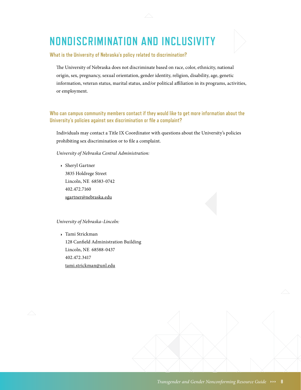# <span id="page-7-0"></span>**NONDISCRIMINATION AND INCLUSIVITY**



**What is the University of Nebraska's policy related to discrimination?** 

The University of Nebraska does not discriminate based on race, color, ethnicity, national origin, sex, pregnancy, sexual orientation, gender identity, religion, disability, age, genetic information, veteran status, marital status, and/or political affiliation in its programs, activities, or employment.

# **Who can campus community members contact if they would like to get more information about the University's policies against sex discrimination or file a complaint?**

Individuals may contact a Title IX Coordinator with questions about the University's policies prohibiting sex discrimination or to file a complaint.

*University of Nebraska Central Administration:* 

· Sheryl Gartner 3835 Holdrege Street Lincoln, NE 68583-0742 402.472.7160 [sgartner@nebraska.edu](mailto:sgartner%40nebraska.edu%20?subject=) 

### *University of Nebraska–Lincoln:*

· Tami Strickman 128 Canfield Administration Building Lincoln, NE 68588-0437 402.472.3417 [tami.strickman@unl.edu](mailto:tami.strickman%40unl.edu?subject=)

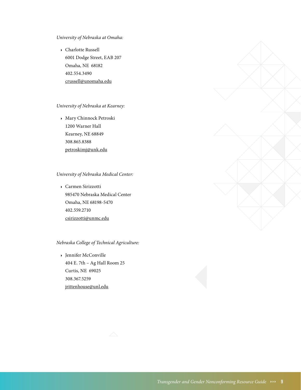*University of Nebraska at Omaha:* 

· Charlotte Russell 6001 Dodge Street, EAB 207 Omaha, NE 68182 402.554.3490 [crussell@unomaha.edu](mailto:crussell%40unomaha.edu?subject=)

# *University of Nebraska at Kearney:*

· Mary Chinnock Petroski 1200 Warner Hall Kearney, NE 68849 308.865.8388 [petroskimj@unk.edu](mailto:petroskimj%40unk.edu?subject=)

### *University of Nebraska Medical Center:*

· Carmen Sirizzotti 985470 Nebraska Medical Center Omaha, NE 68198-5470 402.559.2710 [csirizzotti@unmc.edu](mailto:csirizzotti%40unmc.edu?subject=)

### *Nebraska College of Technical Agriculture:*

· Jennifer McConville 404 E. 7th – Ag Hall Room 25 Curtis, NE 69025 308.367.5259 [jrittenhouse@unl.edu](mailto:jrittenhouse%40unl.edu?subject=)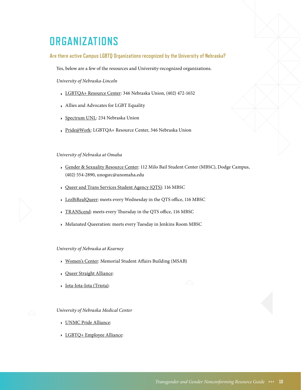# <span id="page-9-0"></span>**ORGANIZATIONS**

### **Are there active Campus LGBTQ Organizations recognized by the University of Nebraska?**

Yes, below are a few of the resources and University-recognized organizations.

*University of Nebraska-Lincoln*

- · [LGBTQA+ Resource Center:](https://involved.unl.edu/lgbtqa) 346 Nebraska Union, (402) 472-1652
- · Allies and Advocates for LGBT Equality
- · [Spectrum UNL:](https://spectrum.unl.edu) 234 Nebraska Union
- · [Pride@Work:](https://www.unl.edu/cglbtc/Home) LGBTQA+ Resource Center, 346 Nebraska Union

### *University of Nebraska at Omaha*

- · [Gender & Sexuality Resource Center](https://www.unomaha.edu/student-life/inclusion/gender-and-sexuality-resource-center/index.php): 112 Milo Bail Student Center (MBSC), Dodge Campus, (402) 554-2890, unogsrc@unomaha.edu
- · [Queer and Trans Services Student Agency \(QTS\)](https://www.unomaha.edu/student-life/inclusion/gender-and-sexuality-resource-center/lgbtqia-resources/queer-and-trans-services-student-agency.php): 116 MBSC
- · [LezBiRealQueer:](https://www.unomaha.edu/student-life/inclusion/gender-and-sexuality-resource-center/lgbtqia-resources/queer-and-trans-services-student-agency.php) meets every Wednesday in the QTS office, 116 MBSC
- · [TRANScend:](https://www.unomaha.edu/student-life/inclusion/gender-and-sexuality-resource-center/lgbtqia-resources/queer-and-trans-services-student-agency.php) meets every Thursday in the QTS office, 116 MBSC
- · Melanated Queeration: meets every Tuesday in Jenkins Room MBSC

### *University of Nebraska at Kearney*

- · [Women's Center:](http://www.unk.edu/offices/counseling_healthcare/womens_center/index.php) Memorial Student Affairs Building (MSAB)
- · [Queer Straight Alliance:](https://www.facebook.com/unkqsa)
- · [Iota-Iota-Iota \(Triota\):](http://www.unk.edu/academics/womens_studies/triota.php)

*University of Nebraska Medical Center* 

- · [UNMC Pride Alliance:](https://www.facebook.com/unmcpridealliance)
- · [LGBTQ+ Employee Alliance:](https://www.unmc.edu/academicaffairs/faculty/mentoring/lgbt/)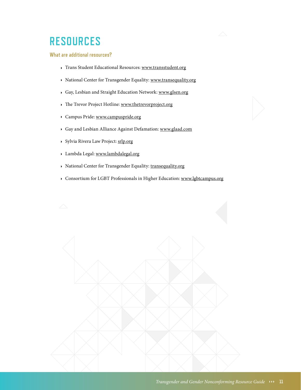# <span id="page-10-0"></span>**RESOURCES**

# **What are additional resources?**

- · Trans Student Educational Resources: [www.transstudent.org](http://www.transstudent.org)
- · National Center for Transgender Equality: [www.transequality.org](http://www.transequality.org)
- · Gay, Lesbian and Straight Education Network: [www.glsen.org](http://www.glsen.org)
- · The Trevor Project Hotline: [www.thetrevorproject.org](http://www.thetrevorproject.org )
- · Campus Pride: [www.campuspride.org](http://www.campuspride.org)
- · Gay and Lesbian Alliance Against Defamation: [www.glaad.com](http://www.glaad.com)
- · Sylvia Rivera Law Project: [srlp.org](http://srlp.org)
- · Lambda Legal: [www.lambdalegal.org](http://www.lambdalegal.org)
- · National Center for Transgender Equality: [transequality.org](http://transequality.org)
- · Consortium for LGBT Professionals in Higher Education: [www.lgbtcampus.org](http://www.lgbtcampus.org)